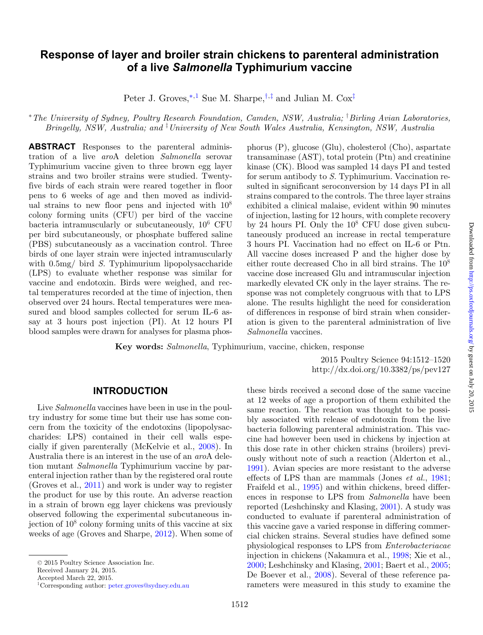# **Response of layer and broiler strain chickens to parenteral administration of a live** *Salmonella* **Typhimurium vaccine**

<span id="page-0-3"></span>Peter J. Groves,<sup>\*[,1](#page-0-1)</sup> Sue M. Sharpe,<sup>[†](#page-0-2),[‡](#page-0-3)</sup> and Julian M. Cox<sup>‡</sup>

<span id="page-0-0"></span><sup>∗</sup>*The University of Sydney, Poultry Research Foundation, Camden, NSW, Australia;* † *Birling Avian Laboratories, Bringelly, NSW, Australia; and* ‡ *University of New South Wales Australia, Kensington, NSW, Australia*

**ABSTRACT** Responses to the parenteral administration of a live *aro*A deletion *Salmonella* serovar Typhimurium vaccine given to three brown egg layer strains and two broiler strains were studied. Twentyfive birds of each strain were reared together in floor pens to 6 weeks of age and then moved as individual strains to new floor pens and injected with  $10^8$ colony forming units (CFU) per bird of the vaccine bacteria intramuscularly or subcutaneously,  $10^6$  CFU per bird subcutaneously, or phosphate buffered saline (PBS) subcutaneously as a vaccination control. Three birds of one layer strain were injected intramuscularly with  $0.5 \text{mg}/\text{bird } S$ . Typhimurium lipopolysaccharide (LPS) to evaluate whether response was similar for vaccine and endotoxin. Birds were weighed, and rectal temperatures recorded at the time of injection, then observed over 24 hours. Rectal temperatures were measured and blood samples collected for serum IL-6 assay at 3 hours post injection (PI). At 12 hours PI blood samples were drawn for analyses for plasma phos<span id="page-0-2"></span>phorus (P), glucose (Glu), cholesterol (Cho), aspartate transaminase (AST), total protein (Ptn) and creatinine kinase (CK). Blood was sampled 14 days PI and tested for serum antibody to *S.* Typhimurium. Vaccination resulted in significant seroconversion by 14 days PI in all strains compared to the controls. The three layer strains exhibited a clinical malaise, evident within 90 minutes of injection, lasting for 12 hours, with complete recovery by 24 hours PI. Only the  $10^8$  CFU dose given subcutaneously produced an increase in rectal temperature 3 hours PI. Vaccination had no effect on IL-6 or Ptn. All vaccine doses increased P and the higher dose by either route decreased Cho in all bird strains. The 108 vaccine dose increased Glu and intramuscular injection markedly elevated CK only in the layer strains. The response was not completely congruous with that to LPS alone. The results highlight the need for consideration of differences in response of bird strain when consideration is given to the parenteral administration of live *Salmonella* vaccines.

**Key words:** *Salmonella*, Typhimurium, vaccine, chicken, response

2015 Poultry Science 94:1512–1520 http://dx.doi.org/10.3382/ps/pev127

### **INTRODUCTION**

Live *Salmonella* vaccines have been in use in the poultry industry for some time but their use has some concern from the toxicity of the endotoxins (lipopolysaccharides: LPS) contained in their cell walls especially if given parenterally (McKelvie et al., [2008\)](#page-8-0). In Australia there is an interest in the use of an *aro*A deletion mutant *Salmonella* Typhimurium vaccine by parenteral injection rather than by the registered oral route (Groves et al., [2011\)](#page-8-1) and work is under way to register the product for use by this route. An adverse reaction in a strain of brown egg layer chickens was previously observed following the experimental subcutaneous injection of  $10^8$  colony forming units of this vaccine at six weeks of age (Groves and Sharpe, [2012\)](#page-8-2). When some of

Received January 24, 2015.

<span id="page-0-1"></span>Accepted March 22, 2015.

these birds received a second dose of the same vaccine at 12 weeks of age a proportion of them exhibited the same reaction. The reaction was thought to be possibly associated with release of endotoxin from the live bacteria following parenteral administration. This vaccine had however been used in chickens by injection at this dose rate in other chicken strains (broilers) previously without note of such a reaction (Alderton et al., [1991\)](#page-8-3). Avian species are more resistant to the adverse effects of LPS than are mammals (Jones *et al.*, [1981;](#page-8-4) Fraifeld et al., [1995\)](#page-8-5) and within chickens, breed differences in response to LPS from *Salmonella* have been reported (Leshchinsky and Klasing, [2001\)](#page-8-6). A study was conducted to evaluate if parenteral administration of this vaccine gave a varied response in differing commercial chicken strains. Several studies have defined some physiological responses to LPS from *Enterobacteriacae* injection in chickens (Nakamura et al., [1998;](#page-8-7) Xie et al., [2000;](#page-8-8) Leshchinsky and Klasing, [2001;](#page-8-6) Baert et al., [2005;](#page-8-9) De Boever et al., [2008\)](#page-8-10). Several of these reference parameters were measured in this study to examine the

<sup>© 2015</sup> Poultry Science Association Inc.

<sup>1</sup>Corresponding author: [peter.groves@sydney.edu.au](mailto:peter.groves@sydney.edu.au)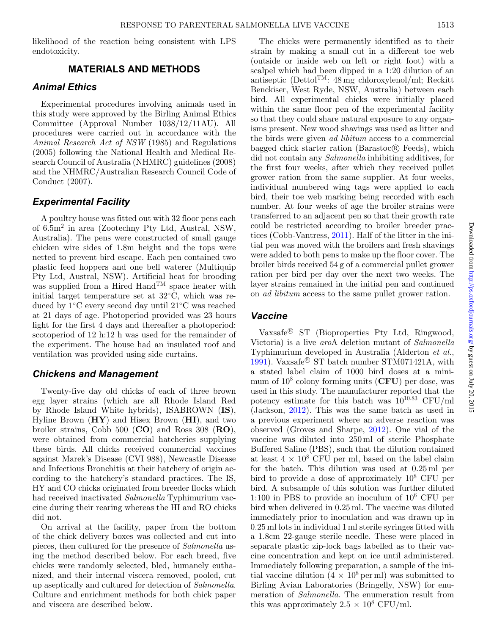likelihood of the reaction being consistent with LPS endotoxicity.

#### **MATERIALS AND METHODS**

#### *Animal Ethics*

Experimental procedures involving animals used in this study were approved by the Birling Animal Ethics Committee (Approval Number 1038/12/11AU). All procedures were carried out in accordance with the *Animal Research Act of NSW* (1985) and Regulations (2005) following the National Health and Medical Research Council of Australia (NHMRC) guidelines (2008) and the NHMRC/Australian Research Council Code of Conduct (2007).

### *Experimental Facility*

A poultry house was fitted out with 32 floor pens each of 6.5m2 in area (Zootechny Pty Ltd, Austral, NSW, Australia). The pens were constructed of small gauge chicken wire sides of 1.8m height and the tops were netted to prevent bird escape. Each pen contained two plastic feed hoppers and one bell waterer (Multiquip Pty Ltd, Austral, NSW). Artificial heat for brooding was supplied from a Hired  $\text{Hand}^{\text{TM}}$  space heater with initial target temperature set at 32◦C, which was reduced by 1◦C every second day until 21◦C was reached at 21 days of age. Photoperiod provided was 23 hours light for the first 4 days and thereafter a photoperiod: scotoperiod of 12 h:12 h was used for the remainder of the experiment. The house had an insulated roof and ventilation was provided using side curtains.

#### *Chickens and Management*

Twenty-five day old chicks of each of three brown egg layer strains (which are all Rhode Island Red by Rhode Island White hybrids), ISABROWN (**IS**), Hyline Brown (**HY**) and Hisex Brown (**HI**), and two broiler strains, Cobb 500 (**CO**) and Ross 308 (**RO**), were obtained from commercial hatcheries supplying these birds. All chicks received commercial vaccines against Marek's Disease (CVI 988), Newcastle Disease and Infectious Bronchitis at their hatchery of origin according to the hatchery's standard practices. The IS, HY and CO chicks originated from breeder flocks which had received inactivated *Salmonella* Typhimurium vaccine during their rearing whereas the HI and RO chicks did not.

On arrival at the facility, paper from the bottom of the chick delivery boxes was collected and cut into pieces, then cultured for the presence of *Salmonella* using the method described below. For each breed, five chicks were randomly selected, bled, humanely euthanized, and their internal viscera removed, pooled, cut up aseptically and cultured for detection of *Salmonella*. Culture and enrichment methods for both chick paper and viscera are described below.

The chicks were permanently identified as to their strain by making a small cut in a different toe web (outside or inside web on left or right foot) with a scalpel which had been dipped in a 1:20 dilution of an antiseptic (Dettol<sup>TM</sup>:  $48 \text{ mg}$  chloroxylenol/ml; Reckitt Benckiser, West Ryde, NSW, Australia) between each bird. All experimental chicks were initially placed within the same floor pen of the experimental facility so that they could share natural exposure to any organisms present. New wood shavings was used as litter and the birds were given *ad libitum* access to a commercial bagged chick starter ration (Barastoc $\circledR$  Feeds), which did not contain any *Salmonella* inhibiting additives, for the first four weeks, after which they received pullet grower ration from the same supplier. At four weeks, individual numbered wing tags were applied to each bird, their toe web marking being recorded with each number. At four weeks of age the broiler strains were transferred to an adjacent pen so that their growth rate could be restricted according to broiler breeder practices (Cobb-Vantress, [2011\)](#page-8-11). Half of the litter in the initial pen was moved with the broilers and fresh shavings were added to both pens to make up the floor cover. The broiler birds received 54 g of a commercial pullet grower ration per bird per day over the next two weeks. The layer strains remained in the initial pen and continued on *ad libitum* access to the same pullet grower ration.

#### *Vaccine*

Vaxsafe<sup>®</sup> ST (Bioproperties Pty Ltd, Ringwood, Victoria) is a live *aro*A deletion mutant of *Salmonella* Typhimurium developed in Australia (Alderton *et al.*, [1991\)](#page-8-3). Vaxsafe<sup>®</sup> ST batch number STM071421A, with a stated label claim of 1000 bird doses at a minimum of  $10^8$  colony forming units ( $CFU$ ) per dose, was used in this study. The manufacturer reported that the potency estimate for this batch was  $10^{10.83}$  CFU/ml (Jackson, [2012\)](#page-8-12). This was the same batch as used in a previous experiment where an adverse reaction was observed (Groves and Sharpe, [2012\)](#page-8-2). One vial of the vaccine was diluted into 250 ml of sterile Phosphate Buffered Saline (PBS), such that the dilution contained at least  $4 \times 10^8$  CFU per ml, based on the label claim for the batch. This dilution was used at 0.25 ml per bird to provide a dose of approximately 108 CFU per bird. A subsample of this solution was further diluted 1:100 in PBS to provide an inoculum of 106 CFU per bird when delivered in 0.25 ml. The vaccine was diluted immediately prior to inoculation and was drawn up in 0.25 ml lots in individual 1 ml sterile syringes fitted with a 1.8cm 22-gauge sterile needle. These were placed in separate plastic zip-lock bags labelled as to their vaccine concentration and kept on ice until administered. Immediately following preparation, a sample of the initial vaccine dilution  $(4 \times 10^8 \,\text{per} \,\text{ml})$  was submitted to Birling Avian Laboratories (Bringelly, NSW) for enumeration of *Salmonella*. The enumeration result from this was approximately  $2.5 \times 10^8$  CFU/ml.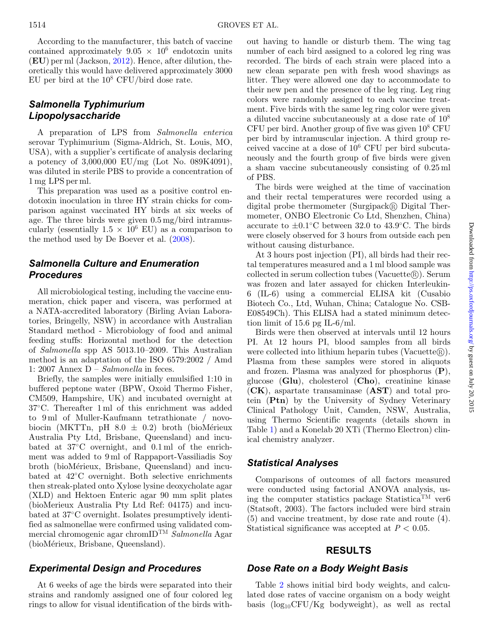According to the manufacturer, this batch of vaccine contained approximately  $9.05 \times 10^6$  endotoxin units (**EU**) per ml (Jackson, [2012\)](#page-8-12). Hence, after dilution, theoretically this would have delivered approximately 3000 EU per bird at the  $10^8$  CFU/bird dose rate.

## *Salmonella Typhimurium Lipopolysaccharide*

A preparation of LPS from *Salmonella enterica* serovar Typhimurium (Sigma-Aldrich, St. Louis, MO, USA), with a supplier's certificate of analysis declaring a potency of 3,000,000 EU/mg (Lot No. 089K4091), was diluted in sterile PBS to provide a concentration of 1 mg LPS per ml.

This preparation was used as a positive control endotoxin inoculation in three HY strain chicks for comparison against vaccinated HY birds at six weeks of age. The three birds were given 0.5 mg/bird intramuscularly (essentially  $1.5 \times 10^6$  EU) as a comparison to the method used by De Boever et al. [\(2008\)](#page-8-10).

## *Salmonella Culture and Enumeration Procedures*

All microbiological testing, including the vaccine enumeration, chick paper and viscera, was performed at a NATA-accredited laboratory (Birling Avian Laboratories, Bringelly, NSW) in accordance with Australian Standard method - Microbiology of food and animal feeding stuffs: Horizontal method for the detection of *Salmonella* spp AS 5013.10–2009. This Australian method is an adaptation of the ISO 6579:2002 / Amd 1: 2007 Annex D – *Salmonella* in feces.

Briefly, the samples were initially emulsified 1:10 in buffered peptone water (BPW, Oxoid Thermo Fisher, CM509, Hampshire, UK) and incubated overnight at 37◦C. Thereafter 1 ml of this enrichment was added to 9 ml of Muller-Kaufmann tetrathionate / novobiocin (MKTTn, pH  $8.0 \pm 0.2$ ) broth (bioMérieux Australia Pty Ltd, Brisbane, Queensland) and incubated at 37◦C overnight, and 0.1 ml of the enrichment was added to 9 ml of Rappaport-Vassiliadis Soy broth (bioMérieux, Brisbane, Queensland) and incubated at 42◦C overnight. Both selective enrichments then streak-plated onto Xylose lysine deoxycholate agar (XLD) and Hektoen Enteric agar 90 mm split plates (bioMerieux Australia Pty Ltd Ref: 04175) and incubated at 37◦C overnight. Isolates presumptively identified as salmonellae were confirmed using validated commercial chromogenic agar chromIDTM *Salmonella* Agar (bioMérieux, Brisbane, Queensland).

## *Experimental Design and Procedures*

At 6 weeks of age the birds were separated into their strains and randomly assigned one of four colored leg rings to allow for visual identification of the birds without having to handle or disturb them. The wing tag number of each bird assigned to a colored leg ring was recorded. The birds of each strain were placed into a new clean separate pen with fresh wood shavings as litter. They were allowed one day to accommodate to their new pen and the presence of the leg ring. Leg ring colors were randomly assigned to each vaccine treatment. Five birds with the same leg ring color were given a diluted vaccine subcutaneously at a dose rate of 10<sup>8</sup> CFU per bird. Another group of five was given  $10^8$  CFU per bird by intramuscular injection. A third group received vaccine at a dose of 10<sup>6</sup> CFU per bird subcutaneously and the fourth group of five birds were given a sham vaccine subcutaneously consisting of 0.25 ml of PBS.

The birds were weighed at the time of vaccination and their rectal temperatures were recorded using a digital probe thermometer (Surgipack $\bigcirc$ ) Digital Thermometer, ONBO Electronic Co Ltd, Shenzhen, China) accurate to  $\pm 0.1$ °C between 32.0 to 43.9°C. The birds were closely observed for 3 hours from outside each pen without causing disturbance.

At 3 hours post injection (PI), all birds had their rectal temperatures measured and a 1 ml blood sample was collected in serum collection tubes (Vacuette®). Serum was frozen and later assayed for chicken Interleukin-6 (IL-6) using a commercial ELISA kit (Cusabio Biotech Co., Ltd, Wuhan, China; Catalogue No. CSB-E08549Ch). This ELISA had a stated minimum detection limit of 15.6 pg IL-6/ml.

Birds were then observed at intervals until 12 hours PI. At 12 hours PI, blood samples from all birds were collected into lithium heparin tubes (Vacuette $\mathbb{R}$ ). Plasma from these samples were stored in aliquots and frozen. Plasma was analyzed for phosphorus (**P**), glucose (**Glu**), cholesterol (**Cho**), creatinine kinase (**CK**), aspartate transaminase (**AST**) and total protein (**Ptn**) by the University of Sydney Veterinary Clinical Pathology Unit, Camden, NSW, Australia, using Thermo Scientific reagents (details shown in Table [1\)](#page-3-0) and a Konelab 20 XTi (Thermo Electron) clinical chemistry analyzer.

### *Statistical Analyses*

Comparisons of outcomes of all factors measured were conducted using factorial ANOVA analysis, using the computer statistics package Statistica<sup>TM</sup> ver6 (Statsoft, 2003). The factors included were bird strain (5) and vaccine treatment, by dose rate and route (4). Statistical significance was accepted at *P* < 0.05.

### **RESULTS**

### *Dose Rate on a Body Weight Basis*

Table [2](#page-3-1) shows initial bird body weights, and calculated dose rates of vaccine organism on a body weight basis  $(log_{10}CFU/Kg$  bodyweight), as well as rectal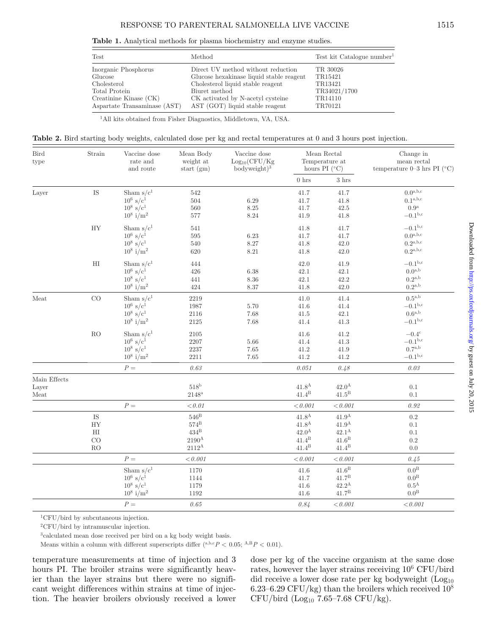**Table 1.** Analytical methods for plasma biochemistry and enzyme studies.

<span id="page-3-0"></span>

| Test                         | Method                                   | $Test$ kit Catalogue number <sup>1</sup> |
|------------------------------|------------------------------------------|------------------------------------------|
| Inorganic Phosphorus         | Direct UV method without reduction       | TR 30026                                 |
| Glucose                      | Glucose hexakinase liquid stable reagent | TR15421                                  |
| Cholesterol                  | Cholesterol liquid stable reagent        | TR13421                                  |
| Total Protein                | Biuret method                            | TR34021/1700                             |
| Creatinine Kinase (CK)       | CK activated by N-acetyl cysteine        | TR14110                                  |
| Aspartate Transaminase (AST) | AST (GOT) liquid stable reagent          | TR70121                                  |

1All kits obtained from Fisher Diagnostics, Middletown, VA, USA.

<span id="page-3-1"></span>**Table 2.** Bird starting body weights, calculated dose per kg and rectal temperatures at 0 and 3 hours post injection.

| Bird<br>type          | Strain              | Vaccine dose<br>rate and<br>and route | Mean Body<br>weight at<br>start $(gm)$ | Vaccine dose<br>$Log_{10}(CFU/Kg)$<br>$bodyweight)^3$ | Mean Rectal<br>Temperature at<br>hours PI $(^{\circ}C)$ |                     | Change in<br>mean rectal<br>temperature 0-3 hrs PI ( $^{\circ}$ C) |  |
|-----------------------|---------------------|---------------------------------------|----------------------------------------|-------------------------------------------------------|---------------------------------------------------------|---------------------|--------------------------------------------------------------------|--|
|                       |                     |                                       |                                        |                                                       | $0\,\ensuremath{\,\mathrm{hrs}}$                        | $3\ \mathrm{hrs}$   |                                                                    |  |
| Layer                 | $\operatorname{IS}$ | Sham $s/c1$                           | 542                                    |                                                       | 41.7                                                    | 41.7                | $0.0^{\text{a},\text{b},\text{c}}$                                 |  |
|                       |                     | $10^6$ s/c <sup>1</sup>               | 504                                    | 6.29                                                  | 41.7                                                    | 41.8                | $0.1^{\text{a},\text{b},\text{c}}$                                 |  |
|                       |                     | $10^8 \text{ s/c}^1$                  | 560                                    | $8.25\,$                                              | 41.7                                                    | $42.5\,$            | 0.9 <sup>a</sup>                                                   |  |
|                       |                     | $10^8$ i/m <sup>2</sup>               | 577                                    | 8.24                                                  | $41.9\,$                                                | 41.8                | $-0.1^{\rm b,c}$                                                   |  |
|                       | HY                  | Sham $s/c1$                           | $541\,$                                |                                                       | 41.8                                                    | 41.7                | $-0.1^{b,c}$                                                       |  |
|                       |                     | $10^6$ s/c <sup>1</sup>               | 595                                    | $6.23\,$                                              | 41.7                                                    | 41.7                | $0.0^{\rm a,b,c}$                                                  |  |
|                       |                     | $10^8 \text{ s/c}^1$                  | 540                                    | 8.27                                                  | 41.8                                                    | 42.0                | $0.2^{\text{a},\text{b},\text{c}}$                                 |  |
|                       |                     | $10^8$ i/m <sup>2</sup>               | 620                                    | 8.21                                                  | 41.8                                                    | 42.0                | $0.2^{\rm a,b,c}$                                                  |  |
|                       | $\rm HI$            | Sham $s/c1$                           | 444                                    |                                                       | 42.0                                                    | 41.9                | $-0.1^{\rm b,c}$                                                   |  |
|                       |                     | $10^6$ s/c <sup>1</sup>               | 426                                    | $6.38\,$                                              | 42.1                                                    | 42.1                | $0.0^{\mathrm{a,b}}$                                               |  |
|                       |                     | $10^8 \text{ s/c}^1$                  | 441                                    | $8.36\,$                                              | 42.1                                                    | 42.2                | $0.2^{\text{a},\text{b}}$                                          |  |
|                       |                     | $10^8$ i/m <sup>2</sup>               | 424                                    | $8.37\,$                                              | 41.8                                                    | 42.0                | $0.2^{\mathrm{a,b}}$                                               |  |
| $\operatorname{Meat}$ | CO                  | Sham $s/c1$                           | 2219                                   |                                                       | 41.0                                                    | 41.4                | $0.5^{\text{a},\text{b}}$                                          |  |
|                       |                     | $10^6$ s/c <sup>1</sup>               | 1987                                   | 5.70                                                  | $41.6\,$                                                | 41.4                | $-0.1^{b,c}$                                                       |  |
|                       |                     | $10^8 \text{ s/c}^1$                  | 2116                                   | $7.68\,$                                              | $41.5\,$                                                | 42.1                | $0.6^{\mathrm{a,b}}$                                               |  |
|                       |                     | $10^8$ i/m <sup>2</sup>               | $2125\,$                               | $7.68\,$                                              | 41.4                                                    | $41.3\,$            | $-0.1b,c$                                                          |  |
|                       | $\rm{RO}$           | Sham $s/c1$                           | 2105                                   |                                                       | $41.6\,$                                                | 41.2                | $-0.4^{\circ}$                                                     |  |
|                       |                     | $10^6$ s/c <sup>1</sup>               | 2207                                   | $5.66\,$                                              | 41.4                                                    | $41.3\,$            | $-0.1^{\rm b,c}$                                                   |  |
|                       |                     | $10^8 \text{ s/c}^1$                  | $2237\,$                               | $7.65\,$                                              | 41.2                                                    | $41.9\,$            | $0.7^{\mathrm{a,b}}$                                               |  |
|                       |                     | $10^8$ i/m <sup>2</sup>               | 2211                                   | 7.65                                                  | 41.2                                                    | $41.2\,$            | $-0.1^{\rm b,c}$                                                   |  |
|                       |                     | ${\cal P}$ $=$                        | $0.63\,$                               |                                                       | $0.051\,$                                               | 0.48                | $0.03\,$                                                           |  |
| Main Effects          |                     |                                       |                                        |                                                       |                                                         |                     |                                                                    |  |
| Layer                 |                     |                                       | $518^{\rm b}$                          |                                                       | 41.8 <sup>A</sup>                                       | $42.0^{\rm A}$      | $0.1\,$                                                            |  |
| Meat                  |                     |                                       | $2148^{\mathrm{a}}$                    |                                                       | $41.4^{\rm B}$                                          | $41.5^{\rm B}$      | 0.1                                                                |  |
|                       |                     | $P =$                                 | < 0.01                                 |                                                       | < 0.001                                                 | < 0.001             | 0.92                                                               |  |
|                       | $\operatorname{IS}$ |                                       | $546^{\rm B}$                          |                                                       | 41.8 <sup>A</sup>                                       | $41.9^{\rm A}$      | $\rm 0.2$                                                          |  |
|                       | HY                  |                                       | $574^{\rm B}$                          |                                                       | $41.8^{\rm A}$                                          | $41.9^{\rm A}$      | 0.1                                                                |  |
|                       | $_{\rm HI}$         |                                       | $434^{\rm B}$                          |                                                       | 42.0 <sup>A</sup>                                       | $42.1^{\rm A}$      | 0.1                                                                |  |
|                       | CO                  |                                       | $2190^{\mathrm{A}}$                    |                                                       | $41.4^{\rm B}$                                          | $41.6^{\rm B}$      | $\rm 0.2$                                                          |  |
|                       | RO                  |                                       | $2112^{\mathrm{A}}$                    |                                                       | $41.4^{\rm B}$                                          | $41.4^{\rm B}$      | 0.0                                                                |  |
|                       |                     | $P =$                                 | < 0.001                                |                                                       | < 0.001                                                 | < 0.001             | 0.45                                                               |  |
|                       |                     | Sham $s/c1$                           | 1170                                   |                                                       | 41.6                                                    | $41.6^{\rm B}$      | $0.0^{\rm B}$                                                      |  |
|                       |                     | $10^6$ s/c <sup>1</sup>               | 1144                                   |                                                       | 41.7                                                    | $41.7^{\rm B}$      | $0.0^{\rm B}$                                                      |  |
|                       |                     | $10^8 \text{ s/c}^1$                  | 1179                                   |                                                       | 41.6                                                    | $42.2^{\mathrm{A}}$ | $0.5^{\rm A}$                                                      |  |
|                       |                     | $10^8$ i/m <sup>2</sup>               | 1192                                   |                                                       | 41.6                                                    | $41.7^{\rm B}$      | $0.0^{\rm B}$                                                      |  |
|                       |                     | $P =$                                 | 0.65                                   |                                                       | 0.84                                                    | < 0.001             | < 0.001                                                            |  |

 ${}^{1}$ CFU/bird by subcutaneous injection.

2CFU/bird by intramuscular injection.

3calculated mean dose received per bird on a kg body weight basis.

Means within a column with different superscripts differ  $(^{a,b,c}P < 0.05; ^{A,B}P < 0.01)$ .

temperature measurements at time of injection and 3 hours PI. The broiler strains were significantly heavier than the layer strains but there were no significant weight differences within strains at time of injection. The heavier broilers obviously received a lower dose per kg of the vaccine organism at the same dose rates, however the layer strains receiving  $10^6$  CFU/bird did receive a lower dose rate per kg bodyweight  $(Log<sub>10</sub>)$ 6.23–6.29 CFU/kg) than the broilers which received  $10^8$  $CFU/bird$  (Log<sub>10</sub> 7.65-7.68  $CFU/kg$ ).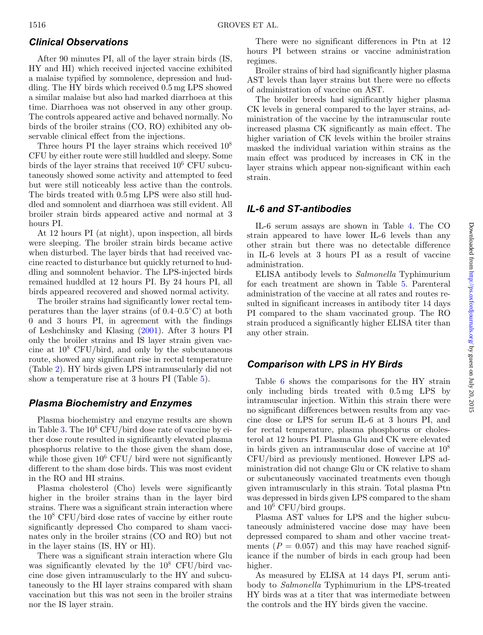### *Clinical Observations*

After 90 minutes PI, all of the layer strain birds (IS, HY and HI) which received injected vaccine exhibited a malaise typified by somnolence, depression and huddling. The HY birds which received 0.5 mg LPS showed a similar malaise but also had marked diarrhoea at this time. Diarrhoea was not observed in any other group. The controls appeared active and behaved normally. No birds of the broiler strains (CO, RO) exhibited any observable clinical effect from the injections.

Three hours PI the layer strains which received  $10^8$ CFU by either route were still huddled and sleepy. Some birds of the layer strains that received 10<sup>6</sup> CFU subcutaneously showed some activity and attempted to feed but were still noticeably less active than the controls. The birds treated with 0.5 mg LPS were also still huddled and somnolent and diarrhoea was still evident. All broiler strain birds appeared active and normal at 3 hours PI.

At 12 hours PI (at night), upon inspection, all birds were sleeping. The broiler strain birds became active when disturbed. The layer birds that had received vaccine reacted to disturbance but quickly returned to huddling and somnolent behavior. The LPS-injected birds remained huddled at 12 hours PI. By 24 hours PI, all birds appeared recovered and showed normal activity.

The broiler strains had significantly lower rectal temperatures than the layer strains (of  $0.4-0.5\degree C$ ) at both 0 and 3 hours PI, in agreement with the findings of Leshchinsky and Klasing [\(2001\)](#page-8-6). After 3 hours PI only the broiler strains and IS layer strain given vaccine at  $10^8$  CFU/bird, and only by the subcutaneous route, showed any significant rise in rectal temperature (Table [2\)](#page-3-1). HY birds given LPS intramuscularly did not show a temperature rise at 3 hours PI (Table [5\)](#page-6-0).

### *Plasma Biochemistry and Enzymes*

Plasma biochemistry and enzyme results are shown in Table [3.](#page-5-0) The  $10^8$  CFU/bird dose rate of vaccine by either dose route resulted in significantly elevated plasma phosphorus relative to the those given the sham dose, while those given  $10^6$  CFU/ bird were not significantly different to the sham dose birds. This was most evident in the RO and HI strains.

Plasma cholesterol (Cho) levels were significantly higher in the broiler strains than in the layer bird strains. There was a significant strain interaction where the  $10^8$  CFU/bird dose rates of vaccine by either route significantly depressed Cho compared to sham vaccinates only in the broiler strains (CO and RO) but not in the layer stains (IS, HY or HI).

There was a significant strain interaction where Glu was significantly elevated by the  $10^8$  CFU/bird vaccine dose given intramuscularly to the HY and subcutaneously to the HI layer strains compared with sham vaccination but this was not seen in the broiler strains nor the IS layer strain.

There were no significant differences in Ptn at 12 hours PI between strains or vaccine administration regimes.

Broiler strains of bird had significantly higher plasma AST levels than layer strains but there were no effects of administration of vaccine on AST.

The broiler breeds had significantly higher plasma CK levels in general compared to the layer strains, administration of the vaccine by the intramuscular route increased plasma CK significantly as main effect. The higher variation of CK levels within the broiler strains masked the individual variation within strains as the main effect was produced by increases in CK in the layer strains which appear non-significant within each strain.

## *IL-6 and ST-antibodies*

IL-6 serum assays are shown in Table [4.](#page-6-1) The CO strain appeared to have lower IL-6 levels than any other strain but there was no detectable difference in IL-6 levels at 3 hours PI as a result of vaccine administration.

ELISA antibody levels to *Salmonella* Typhimurium for each treatment are shown i[n](#page-6-1) Table [5.](#page-6-0) Parenteral administration of the vaccine at all rates and routes resulted in significant increases in antibody titer 14 days PI compared to the sham vaccinated group. The RO strain produced a significantly higher ELISA titer than any other strain.

### *Comparison with LPS in HY Birds*

Table [6](#page-7-0) shows the comparisons for the HY strain only including birds treated with 0.5 mg LPS by intramuscular injection. Within this strain there were no significant differences between results from any vaccine dose or LPS for serum IL-6 at 3 hours PI, and for rectal temperature, plasma phosphorus or cholesterol at 12 hours PI. Plasma Glu and CK were elevated in birds given an intramuscular dose of vaccine at  $10^8$ CFU/bird as previously mentioned. However LPS administration did not change Glu or CK relative to sham or subcutaneously vaccinated treatments even though given intramuscularly in this strain. Total plasma Ptn was depressed in birds given LPS compared to the sham and  $10^6$  CFU/bird groups.

Plasma AST values for LPS and the higher subcutaneously administered vaccine dose may have been depressed compared to sham and other vaccine treatments  $(P = 0.057)$  and this may have reached significance if the number of birds in each group had been higher.

As measured by ELISA at 14 days PI, serum antibody to *Salmonella* Typhimurium in the LPS-treated HY birds was at a titer that was intermediate between the controls and the HY birds given the vaccine.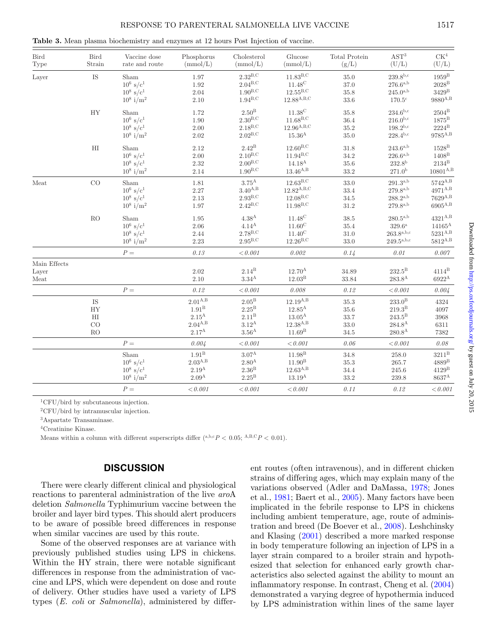| <b>Bird</b><br>Type | <b>Bird</b><br>Strain      | Vaccine dose<br>rate and route                             | Phosphorus<br>(mmol/L) | Cholesterol<br>(mmol/L)                                      | Glucose<br>(mmol/L)                                   | Total Protein<br>(g/L)       | AST <sup>3</sup><br>(U/L)                       | CK <sup>4</sup><br>(U/L)                           |
|---------------------|----------------------------|------------------------------------------------------------|------------------------|--------------------------------------------------------------|-------------------------------------------------------|------------------------------|-------------------------------------------------|----------------------------------------------------|
| Layer               | IS                         | Sham<br>$10^6$ s/c <sup>1</sup><br>$10^8$ s/c <sup>1</sup> | 1.97<br>1.92<br>2.04   | $2.32^{\mathrm{B,C}}$<br>$2.04^{\text{B,C}}$<br>$1.90^{B,C}$ | $11.83^{B,C}$<br>$11.48^{\circ}$<br>$12.55^{\rm B,C}$ | 35.0<br>$37.0\,$<br>$35.8\,$ | $239.8^{b,c}$<br>$276.6^{a,b}$<br>$245.0^{a,b}$ | $1959^{\rm B}$<br>$2028^{\rm B}$<br>$3429^{\rm B}$ |
|                     |                            | $10^8$ i/m <sup>2</sup>                                    | 2.10                   | $1.94^{\rm B,C}$                                             | $12.88^{A,B,C}$                                       | 33.6                         | 170.5c                                          | $9880^{\rm A,B}$                                   |
|                     | HY                         | Sham                                                       | 1.72                   | $2.50^{\rm B}$                                               | $11.38^{\circ}$                                       | 35.8                         | $234.6^{b,c}$                                   | $2504^{\mathrm{B}}$                                |
|                     |                            | $10^6$ s/c <sup>1</sup>                                    | 1.90                   | $2.30^{B,C}$                                                 | $11.68^{B,C}$                                         | 36.4                         | $216.0^{b,c}$                                   | $1875^{\rm B}$                                     |
|                     |                            | $10^8 \text{ s/c}^1$                                       | $2.00\,$               | $2.18^{B,C}$                                                 | $12.96^{A,B,C}$                                       | $35.2\,$                     | $198.2^{b,c}$                                   | $2224^{\rm B}$                                     |
|                     |                            | $10^8$ i/m <sup>2</sup>                                    | 2.02                   | $2.02^{\rm B,C}$                                             | $15.36^{\rm A}$                                       | 35.0                         | $228.4^{b,c}$                                   | $9785^{\rm A,B}$                                   |
|                     | $\mathop{\rm HI}\nolimits$ | Sham                                                       | 2.12                   | $2.42^{\rm B}$                                               | $12.60^{B,C}$                                         | 31.8                         | $243.6^{a,b}$                                   | $1528^{\mathrm{B}}$                                |
|                     |                            | $10^6$ s/c <sup>1</sup>                                    | 2.00                   | $2.10^{B,C}$                                                 | $11.94^{B,C}$                                         | $34.2\,$                     | $226.6^{a,b}$                                   | $1408^{\rm B}$                                     |
|                     |                            | $10^8 \text{ s/c}^1$                                       | 2.32                   | 2.00 <sup>B,C</sup>                                          | $14.18^{A}$                                           | $35.6\,$                     | 232.8 <sup>b</sup>                              | $2134^{\rm B}$                                     |
|                     |                            | $10^8$ i/m <sup>2</sup>                                    | 2.14                   | $1.90^{\rm B,C}$                                             | $13.46^{\rm A,B}$                                     | $33.2\,$                     | 271.0 <sup>b</sup>                              | $10801^{\rm A,B}$                                  |
| Meat                | CO                         | Sham                                                       | 1.81                   | $3.75^{\mathrm{A}}$                                          | $12.63^{\mathrm{B,C}}$                                | 33.0                         | $291.3^{a,b}$                                   | $5742^{\mathrm{A},\mathrm{B}}$                     |
|                     |                            | $10^6$ s/c <sup>1</sup>                                    | 2.27                   | $3.40^{\rm A,B}$                                             | $12.82^{A,B,C}$                                       | 33.4                         | $279.8^{a,b}$                                   | $4971^{A,B}$                                       |
|                     |                            | $10^8$ s/c <sup>1</sup>                                    | $2.13\,$               | 2.93 <sup>B,C</sup>                                          | $12.08^{\rm B,C}$                                     | $34.5\,$                     | $288.2^{a,b}$                                   | $7629^{\mathrm{A},\mathrm{B}}$                     |
|                     |                            | $10^8$ i/m <sup>2</sup>                                    | 1.97                   | $2.42^{\mathrm{B,C}}$                                        | $11.98^{B,C}$                                         | $31.2\,$                     | $279.8^{a,b}$                                   | $\rm 6905^{A,B}$                                   |
|                     | ${\rm RO}$                 | Sham                                                       | 1.95                   | 4.38 <sup>A</sup>                                            | $11.48^{\circ}$                                       | $38.5\,$                     | $280.5^{a,b}$                                   | $4321^{A,B}$                                       |
|                     |                            | $10^6$ s/c <sup>1</sup>                                    | 2.06                   | 4.14 <sup>A</sup>                                            | $11.60^{\circ}$                                       | 35.4                         | $329.6^{\rm a}$                                 | $14165^{\rm A}$                                    |
|                     |                            | $10^8 \text{ s/c}^1$                                       | 2.44                   | $2.78^{\rm B,C}$                                             | $11.40^{\rm C}$                                       | $31.0\,$                     | $263.8^{a,b,c}$                                 | $5231^{\rm A,B}$                                   |
|                     |                            | $10^8$ i/m <sup>2</sup>                                    | 2.23                   | $2.95^{\mathrm{B,C}}$                                        | $12.26^{B,C}$                                         | 33.0                         | $249.5^{a,b,c}$                                 | $5812^{\mathrm{A},\mathrm{B}}$                     |
|                     |                            | $P =$                                                      | 0.13                   | < 0.001                                                      | 0.002                                                 | 0.14                         | 0.01                                            | 0.007                                              |
| Main Effects        |                            |                                                            |                        |                                                              |                                                       |                              |                                                 |                                                    |
| Layer               |                            |                                                            | 2.02                   | $2.14^{\rm B}$                                               | $12.70^{\rm A}$                                       | 34.89                        | $232.5^{\rm B}$                                 | $4114^B$                                           |
| Meat                |                            |                                                            | 2.10                   | $3.34^{\rm A}$                                               | 12.03 <sup>B</sup>                                    | 33.84                        | $283.8^{A}$                                     | $6922^{\mathrm{A}}$                                |
|                     |                            | $P =$                                                      | 0.12                   | < 0.001                                                      | 0.008                                                 | 0.12                         | < 0.001                                         | 0.004                                              |
|                     | IS                         |                                                            | $2.01^{A,B}$           | $2.05^{\rm B}$                                               | $12.19^{A,B}$                                         | 35.3                         | $233.0^{\rm B}$                                 | 4324                                               |
|                     | ${\rm HY}$                 |                                                            | $1.91^{\rm B}$         | $2.25^{\rm B}$                                               | $12.85^{\rm A}$                                       | 35.6                         | $219.3^{\rm B}$                                 | 4097                                               |
|                     | $\mathop{\rm HI}\nolimits$ |                                                            | $2.15^{\mathrm{A}}$    | 2.11 <sup>B</sup>                                            | $13.05^{\rm A}$                                       | $33.7\,$                     | $243.5^{\mathrm{B}}$                            | 3968                                               |
|                     | CO                         |                                                            | $2.04^{\rm A,B}$       | $3.12^{\rm A}$                                               | $12.38^{A,B}$                                         | $33.0\,$                     | $284.8^{\rm A}$                                 | 6311                                               |
|                     | RO                         |                                                            | $2.17^{\rm A}$         | $3.56^{\rm A}$                                               | $11.69^{\rm B}$                                       | 34.5                         | $280.8^{A}$                                     | 7382                                               |
|                     |                            | $P =$                                                      | 0.004                  | $< 0.001$                                                    | $<\!0.001$                                            | 0.06                         | < 0.001                                         | 0.08                                               |
|                     |                            | Sham                                                       | $1.91^{\rm B}$         | $3.07^{\rm A}$                                               | 11.98 <sup>B</sup>                                    | $34.8\,$                     | $258.0\,$                                       | $3211^{\rm B}$                                     |
|                     |                            | $10^6$ s/c <sup>1</sup>                                    | $2.03^{A,B}$           | $2.80^{A}$                                                   | $11.90^{\rm B}$                                       | $35.3\,$                     | $265.7\,$                                       | $4889^{\rm B}$                                     |
|                     |                            | $10^8 \text{ s/c}^1$                                       | $2.19^{\rm A}$         | 2.36 <sup>B</sup>                                            | $12.63^{A,B}$                                         | 34.4                         | $245.6\,$                                       | $4129^{\rm B}$                                     |
|                     |                            | $10^8$ i/m <sup>2</sup>                                    | 2.09 <sup>A</sup>      | $2.25^{\rm B}$                                               | $13.19^{\rm A}$                                       | $33.2\,$                     | 239.8                                           | $8637^{\rm A}$                                     |
|                     |                            | $P =$                                                      | < 0.001                | < 0.001                                                      | < 0.001                                               | 0.11                         | 0.12                                            | < 0.001                                            |

<span id="page-5-0"></span>**Table 3.** Mean plasma biochemistry and enzymes at 12 hours Post Injection of vaccine.

 ${}^{1}$ CFU/bird by subcutaneous injection.

2CFU/bird by intramuscular injection.

3Aspartate Transaminase.

4Creatinine Kinase.

Means within a column with different superscripts differ  $(^{a,b,c}P<0.05; ^{A,B,C}P<0.01)$ .

#### **DISCUSSION**

There wer[e](#page-6-1) clearly different clinical and physiological reactions to parenteral administration of the live *aro*A deletion *Salmonella* Typhimurium vaccine between the broiler and layer bird types. This should alert producers to be aware of possible breed differences in response when similar vaccines are used by this route.

Some of the observed responses are at variance with previously published studies using LPS in chickens. Within the HY strain, there were notable significant differences in response from the administration of vaccine and LPS, which were dependent on dose and route of delivery. Other studies have used a variety of LPS types (*E. coli* or *Salmonella*), administered by different routes (often intravenous), and in different chicken strains of differing ages, which may explain many of the variations observed (Adler and DaMassa, [1978;](#page-8-13) Jones et al., [1981;](#page-8-4) Baert et al., [2005\)](#page-8-9). Many factors have been implicated in the febrile response to LPS in chickens including ambient temperature, age, route of administration and breed (De Boever et al., [2008\)](#page-8-10). Leshchinsky and Klasing [\(2001\)](#page-8-6) described a more marked response in body temperature following an injection of LPS in a layer strain compared to a broiler strain and hypothesized that selection for enhanced early growth characteristics also selected against the ability to mount an inflammatory response. In contrast, Cheng et al. [\(2004\)](#page-8-14) demonstrated a varying degree of hypothermia induced by LPS administration within lines of the same layer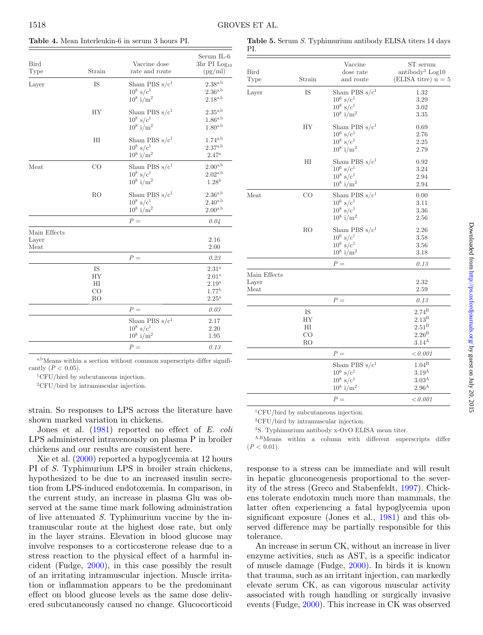<span id="page-6-1"></span>

| <b>Bird</b><br>Type           | Strain                     | Vaccine dose<br>rate and route                                     | Serum IL-6<br>3hr PI $Log_{10}$<br>(pg/ml)                                                  |
|-------------------------------|----------------------------|--------------------------------------------------------------------|---------------------------------------------------------------------------------------------|
| Layer                         | IS                         | Sham PBS $s/c1$<br>$10^8 \text{ s/c}^1$<br>$10^8$ i/m <sup>2</sup> | $2.38^{\rm a,b}$<br>$2.36^{\mathrm{a,b}}$<br>$2.18^{\mathrm{a,b}}$                          |
|                               | <b>HY</b>                  | Sham PBS $s/c1$<br>$10^8 \text{ s/c}^1$<br>$10^8$ i/m <sup>2</sup> | $2.35^{\rm a,b}$<br>$1.86^{\mathrm{a,b}}$<br>$1.80^{\mathrm{a,b}}$                          |
|                               | $_{\rm HI}$                | Sham PBS $s/c1$<br>$10^8 \text{ s/c}^1$<br>$10^8$ i/m <sup>2</sup> | $1.74^{a,b}$<br>$2.37^{\rm a,b}$<br>$2.47^{\rm a}$                                          |
| Meat                          | CO                         | Sham PBS $s/c1$<br>$10^8 \text{ s/c}^1$<br>$10^8$ i/m <sup>2</sup> | $2.00^{\mathrm{a,b}}$<br>$2.02^{\mathrm{a,b}}$<br>1.28 <sup>b</sup>                         |
|                               | R <sub>O</sub>             | Sham PBS $s/c1$<br>$10^8 \text{ s/c}^1$<br>$10^8$ i/m <sup>2</sup> | $2.36^{\mathrm{a,b}}$<br>$2.40^{\mathrm{a,b}}$<br>$2.00^{\mathrm{a,b}}$                     |
|                               |                            | $P =$                                                              | 0.04                                                                                        |
| Main Effects<br>Layer<br>Meat |                            |                                                                    | 2.16<br>2.00                                                                                |
|                               |                            | $P =$                                                              | $0.23\,$                                                                                    |
|                               | IS<br>HY<br>HI<br>CO<br>RO |                                                                    | $2.31^{a}$<br>2.01 <sup>a</sup><br>2.19 <sup>a</sup><br>1.77 <sup>b</sup><br>$2.25^{\rm a}$ |
|                               |                            | $P =$                                                              | 0.03                                                                                        |
|                               |                            | Sham PBS $s/c1$<br>$10^8 \text{ s/c}^1$<br>$10^8$ i/m <sup>2</sup> | 2.17<br>2.20<br>1.95                                                                        |
|                               |                            | $P =$                                                              | 0.13                                                                                        |
|                               |                            |                                                                    |                                                                                             |

a,b<sub>Means</sub> within a section without common superscripts differ significantly  $(P < 0.05)$ .

1CFU/bird by subcutaneous injection.

2CFU/bird by intramuscular injection.

strain. So responses to LPS across the literature have shown marked variation in chickens.

Jones et al. [\(1981\)](#page-8-4) reported no effect of *E. coli* LPS administered intravenously on plasma P in broiler chickens and our results are consistent here.

Xie et al. [\(2000\)](#page-8-8) reported a hypoglycemia at 12 hours PI of *S.* Typhimurium LPS in broiler strain chickens, hypothesized to be due to an increased insulin secretion from LPS-induced endotoxemia. In comparison, in the current study, an increase in plasma Glu was observed at the same time mark following administration of live attenuated *S.* Typhimurium vaccine by the intramuscular route at the highest dose rate, but only in the layer strains. Elevation in blood glucose may involve response[s](#page-7-0) to a corticosterone release due to a stress reaction to the physical effect of a harmful incident (Fudge, [2000\)](#page-8-15), in this case possibly the result of an irritating intramuscular injection. Muscle irritation or inflammation appears to be the predominant effect on blood glucose levels as the same dose delivered subcutaneously caused no change. Glucocorticoid

<span id="page-6-0"></span>

| Table 5. Serum S. Typhimurium antibody ELISA titers 14 days |  |  |  |
|-------------------------------------------------------------|--|--|--|
| -PL                                                         |  |  |  |

| Bird<br>Type                  | Strain                                     | Vaccine<br>dose rate<br>and route                                                                | ST serum<br>antibody <sup>3</sup> Log10<br>(ELISA titre) $n = 5$                                   |
|-------------------------------|--------------------------------------------|--------------------------------------------------------------------------------------------------|----------------------------------------------------------------------------------------------------|
| Layer                         | IS                                         | Sham PBS $s/c1$<br>$10^6$ s/c <sup>1</sup><br>$10^8 \text{ s/c}^1$<br>$10^8$ i/m <sup>2</sup>    | 1.32<br>3.29<br>3.02<br>3.35                                                                       |
|                               | <b>HY</b>                                  | Sham PBS $s/c1$<br>$10^6$ s/c <sup>1</sup><br>$10^8$ s/c <sup>1</sup><br>$10^8$ i/m <sup>2</sup> | 0.69<br>2.76<br>2.25<br>2.79                                                                       |
|                               | $_{\rm HI}$                                | Sham PBS $s/c1$<br>$10^6~\rm s/c^1$<br>$10^8 \text{ s/c}^1$<br>$10^8$ i/m <sup>2</sup>           | 0.92<br>3.24<br>2.94<br>2.94                                                                       |
| Meat                          | CO                                         | Sham PBS $s/c1$<br>$10^6$ s/c <sup>1</sup><br>$10^8 \text{ s/c}^1$<br>$10^8$ i/m <sup>2</sup>    | 0.00<br>3.11<br>3.36<br>2.56                                                                       |
|                               | RO                                         | Sham PBS $s/c1$<br>$10^6 \text{ s/c}^1$<br>$10^8$ s/c <sup>1</sup><br>$10^8$ i/m <sup>2</sup>    | 2.26<br>3.58<br>3.56<br>3.18                                                                       |
|                               |                                            | $P =$                                                                                            | 0.13                                                                                               |
| Main Effects<br>Layer<br>Meat |                                            |                                                                                                  | 2.32<br>2.59                                                                                       |
|                               |                                            | $P =$                                                                                            | 0.13                                                                                               |
|                               | IS<br><b>HY</b><br>$_{\rm HI}$<br>CO<br>RO |                                                                                                  | $2.74^{\rm B}$<br>2.13 <sup>B</sup><br>2.51 <sup>B</sup><br>2.26 <sup>B</sup><br>3.14 <sup>A</sup> |
|                               |                                            | $P =$                                                                                            | < 0.001                                                                                            |
|                               |                                            | Sham PBS $s/c1$<br>$10^6 \text{ s/c}^1$<br>$10^8 \text{ s/c}^1$<br>$10^8$ i/m <sup>2</sup>       | $1.04^{\rm B}$<br>3.19 <sup>A</sup><br>3.03 <sup>A</sup><br>2.96 <sup>A</sup>                      |
|                               |                                            | $P =$                                                                                            | < 0.001                                                                                            |

1CFU/bird by subcutaneous injection.

2CFU/bird by intramuscular injection.

3S. Typhimurium antibody x-OvO ELISA mean titer.

A,BMeans within a column with different superscripts differ  $(P < 0.01)$ .

response to a stress can be immediate and will result in hepatic gluconeogenesis proportional to the severity of the stress (Greco and Stabenfeldt, [1997\)](#page-8-16). Chickens tolerate endotoxin much more than mammals, the latter often experiencing a fatal hypoglycemia upon significant exposure (Jones et al., [1981\)](#page-8-4) and this observed difference may be partially responsible for this tolerance.

An increase in serum CK, without an increase in liver enzyme activities, such as AST, is a specific indicator of muscle damage (Fudge, [2000\)](#page-8-15). In birds it is known that trauma, such as an irritant injection, can markedly elevate serum CK, as can vigorous muscular activity associated with rough handling or surgically invasive events (Fudge, [2000\)](#page-8-15). This increase in CK was observed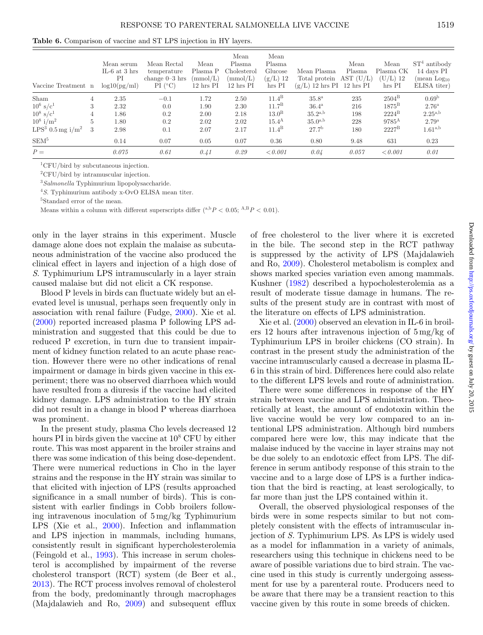<span id="page-7-0"></span>**Table 6.** Comparison of vaccine and ST LPS injection in HY layers.

| Vaccine Treatment n            |   | Mean serum<br>IL-6 at 3 hrs<br>PI<br>log10(pg/ml) | Mean Rectal<br>temperature<br>change $0-3$ hrs<br>PI (°C) | Mean<br>Plasma P<br>$\text{(mmol/L)}$<br>$12 \text{ hrs} \text{PI}$ | Mean<br>Plasma<br>Cholesterol<br>$\text{mmol/L}$<br>$12 \text{ hrs} \text{PI}$ | Mean<br>Plasma<br>Glucose<br>$(g/L)$ 12<br>hrs PI | Mean Plasma<br>Total protein $AST (U/L)$<br>$(g/L)$ 12 hrs PI 12 hrs PI | Mean<br>Plasma | Mean<br>Plasma CK<br>$(U/L)$ 12<br>hrs PI | $ST4$ antibody<br>14 days PI<br>(mean Log <sub>10</sub> )<br>ELISA titer |
|--------------------------------|---|---------------------------------------------------|-----------------------------------------------------------|---------------------------------------------------------------------|--------------------------------------------------------------------------------|---------------------------------------------------|-------------------------------------------------------------------------|----------------|-------------------------------------------|--------------------------------------------------------------------------|
| Sham                           | 4 | 2.35                                              | $-0.1$                                                    | 1.72                                                                | 2.50                                                                           | $11.4^B$                                          | 35.8 <sup>a</sup>                                                       | 235            | $2504^{\mathrm{B}}$                       | 0.69 <sup>b</sup>                                                        |
| $10^6$ s/c <sup>1</sup>        | 3 | 2.32                                              | 0.0                                                       | 1.90                                                                | 2.30                                                                           | $11.7^{\rm B}$                                    | $36.4^{\rm a}$                                                          | 216            | $1875^{\rm B}$                            | $2.76^{\rm a}$                                                           |
| $10^8 \text{ s/c}^1$           | 4 | 1.86                                              | 0.2                                                       | 2.00                                                                | 2.18                                                                           | 13.0 <sup>B</sup>                                 | $35.2^{a,b}$                                                            | 198            | $2224^B$                                  | $2.25^{a,b}$                                                             |
| $10^8$ i/m <sup>2</sup>        | 5 | 1.80                                              | 0.2                                                       | 2.02                                                                | 2.02                                                                           | 15.4 <sup>A</sup>                                 | $35.0^{a,b}$                                                            | 228            | $9785^{\rm A}$                            | 2.79 <sup>a</sup>                                                        |
| $LPS3$ 0.5 mg i/m <sup>2</sup> | 3 | 2.98                                              | 0.1                                                       | 2.07                                                                | 2.17                                                                           | $11.4^B$                                          | 27.7 <sup>b</sup>                                                       | 180            | $2227^{\mathrm{B}}$                       | $1.61^{a,b}$                                                             |
| SEM <sup>5</sup>               |   | 0.14                                              | 0.07                                                      | 0.05                                                                | 0.07                                                                           | 0.36                                              | 0.80                                                                    | 9.48           | 631                                       | 0.23                                                                     |
| $P =$                          |   | 0.075                                             | 0.61                                                      | 0.41                                                                | 0.29                                                                           | < 0.001                                           | 0.04                                                                    | 0.057          | < 0.001                                   | 0.01                                                                     |

1CFU/bird by subcutaneous injection.

2CFU/bird by intramuscular injection.

<sup>3</sup>*Salmonella* Typhimurium lipopolysaccharide.

<sup>4</sup>*S*. Typhimurium antibody x-OvO ELISA mean titer.

5Standard error of the mean.

Means within a column with different superscripts differ  $(^{a,b}P < 0.05; ^{A,B}P < 0.01)$ .

only in the layer strains in this experiment. Muscle damage alone does not explain the malaise as subcutaneous administration of the vaccine also produced the clinical effect in layers and injection of a high dose of *S*. Typhimurium LPS intramuscularly in a layer strain caused malaise but did not elicit a CK response.

Blood P levels in birds can fluctuate widely but an elevated level is unusual, perhaps seen frequently only in association with renal failure (Fudge, [2000\)](#page-8-15). Xie et al. [\(2000\)](#page-8-8) reported increased plasma P following LPS administration and suggested that this could be due to reduced P excretion, in turn due to transient impairment of kidney function related to an acute phase reaction. However there were no other indications of renal impairment or damage in birds given vaccine in this experiment; there was no observed diarrhoea which would have resulted from a diuresis if the vaccine had elicited kidney damage. LPS administration to the HY strain did not result in a change in blood P whereas diarrhoea was prominent.

In the present study, plasma Cho levels decreased 12 hours PI in birds given the vaccine at  $10<sup>8</sup>$  CFU by either route. This was most apparent in the broiler strains and there was some indication of this being dose-dependent. There were numerical reductions in Cho in the layer strains and the response in the HY strain was similar to that elicited with injection of LPS (results approached significance in a small number of birds). This is consistent with earlier findings in Cobb broilers following intravenous inoculation of 5 mg/kg Typhimurium LPS (Xie et al., [2000\)](#page-8-8). Infection and inflammation and LPS injection in mammals, including humans, consistently result in significant hypercholesterolemia (Feingold et al., [1993\)](#page-8-17). This increase in serum cholesterol is accomplished by impairment of the reverse cholesterol transport (RCT) system (de Beer et al., [2013\)](#page-8-18). The RCT process involves removal of cholesterol from the body, predominantly through macrophages (Majdalawieh and Ro, [2009\)](#page-8-19) and subsequent efflux of free cholesterol to the liver where it is excreted in the bile. The second step in the RCT pathway is suppressed by the activity of LPS (Majdalawieh and Ro, [2009\)](#page-8-19). Cholesterol metabolism is complex and shows marked species variation even among mammals. Kushner [\(1982\)](#page-8-20) described a hypocholesterolemia as a result of moderate tissue damage in humans. The results of the present study are in contrast with most of the literature on effects of LPS administration.

Xie et al. [\(2000\)](#page-8-8) observed an elevation in IL-6 in broilers 12 hours after intravenous injection of 5 mg/kg of Typhimurium LPS in broiler chickens (CO strain). In contrast in the present study the administration of the vaccine intramuscularly caused a decrease in plasma IL-6 in this strain of bird. Differences here could also relate to the different LPS levels and route of administration.

There were some differences in response of the HY strain between vaccine and LPS administration. Theoretically at least, the amount of endotoxin within the live vaccine would be very low compared to an intentional LPS administration. Although bird numbers compared here were low, this may indicate that the malaise induced by the vaccine in layer strains may not be due solely to an endotoxic effect from LPS. The difference in serum antibody response of this strain to the vaccine and to a large dose of LPS is a further indication that the bird is reacting, at least serologically, to far more than just the LPS contained within it.

Overall, the observed physiological responses of the birds were in some respects similar to but not completely consistent with the effects of intramuscular injection of *S.* Typhimurium LPS. As LPS is widely used as a model for inflammation in a variety of animals, researchers using this technique in chickens need to be aware of possible variations due to bird strain. The vaccine used in this study is currently undergoing assessment for use by a parenteral route. Producers need to be aware that there may be a transient reaction to this vaccine given by this route in some breeds of chicken.